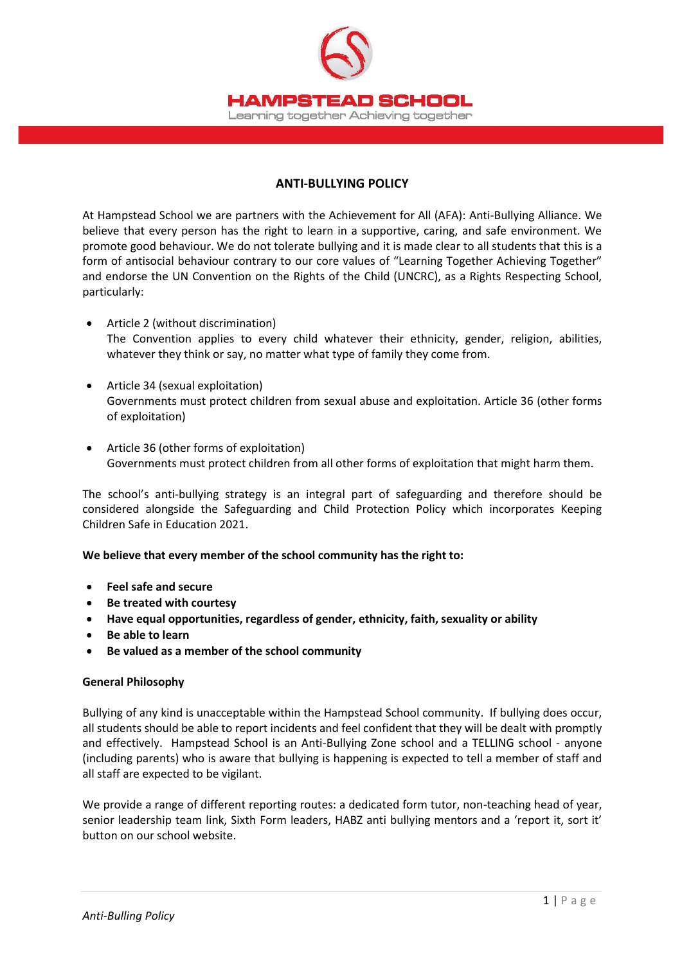

## **ANTI-BULLYING POLICY**

At Hampstead School we are partners with the Achievement for All (AFA): Anti-Bullying Alliance. We believe that every person has the right to learn in a supportive, caring, and safe environment. We promote good behaviour. We do not tolerate bullying and it is made clear to all students that this is a form of antisocial behaviour contrary to our core values of "Learning Together Achieving Together" and endorse the UN Convention on the Rights of the Child (UNCRC), as a Rights Respecting School, particularly:

- Article 2 (without discrimination) The Convention applies to every child whatever their ethnicity, gender, religion, abilities, whatever they think or say, no matter what type of family they come from.
- Article 34 (sexual exploitation) Governments must protect children from sexual abuse and exploitation. Article 36 (other forms of exploitation)
- Article 36 (other forms of exploitation) Governments must protect children from all other forms of exploitation that might harm them.

The school's anti-bullying strategy is an integral part of safeguarding and therefore should be considered alongside the Safeguarding and Child Protection Policy which incorporates Keeping Children Safe in Education 2021.

## **We believe that every member of the school community has the right to:**

- **Feel safe and secure**
- **Be treated with courtesy**
- **Have equal opportunities, regardless of gender, ethnicity, faith, sexuality or ability**
- **Be able to learn**
- **Be valued as a member of the school community**

## **General Philosophy**

Bullying of any kind is unacceptable within the Hampstead School community. If bullying does occur, all students should be able to report incidents and feel confident that they will be dealt with promptly and effectively. Hampstead School is an Anti-Bullying Zone school and a TELLING school - anyone (including parents) who is aware that bullying is happening is expected to tell a member of staff and all staff are expected to be vigilant.

We provide a range of different reporting routes: a dedicated form tutor, non-teaching head of year, senior leadership team link, Sixth Form leaders, HABZ anti bullying mentors and a 'report it, sort it' button on our school website.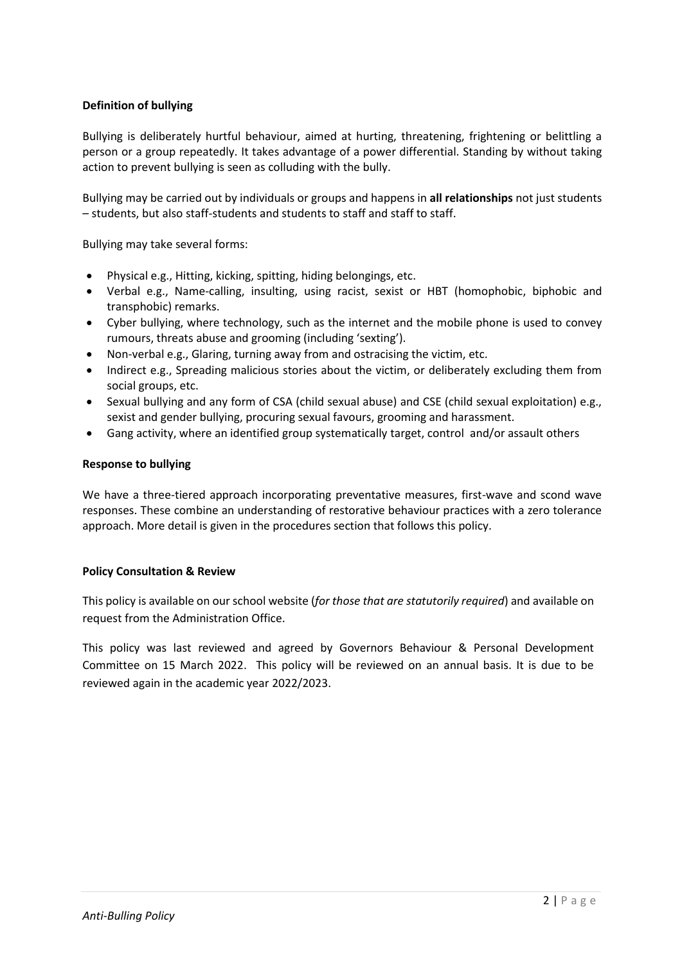# **Definition of bullying**

Bullying is deliberately hurtful behaviour, aimed at hurting, threatening, frightening or belittling a person or a group repeatedly. It takes advantage of a power differential. Standing by without taking action to prevent bullying is seen as colluding with the bully.

Bullying may be carried out by individuals or groups and happens in **all relationships** not just students – students, but also staff-students and students to staff and staff to staff.

Bullying may take several forms:

- Physical e.g., Hitting, kicking, spitting, hiding belongings, etc.
- Verbal e.g., Name-calling, insulting, using racist, sexist or HBT (homophobic, biphobic and transphobic) remarks.
- Cyber bullying, where technology, such as the internet and the mobile phone is used to convey rumours, threats abuse and grooming (including 'sexting').
- Non-verbal e.g., Glaring, turning away from and ostracising the victim, etc.
- Indirect e.g., Spreading malicious stories about the victim, or deliberately excluding them from social groups, etc.
- Sexual bullying and any form of CSA (child sexual abuse) and CSE (child sexual exploitation) e.g., sexist and gender bullying, procuring sexual favours, grooming and harassment.
- Gang activity, where an identified group systematically target, control and/or assault others

### **Response to bullying**

We have a three-tiered approach incorporating preventative measures, first-wave and scond wave responses. These combine an understanding of restorative behaviour practices with a zero tolerance approach. More detail is given in the procedures section that follows this policy.

## **Policy Consultation & Review**

This policy is available on our school website (*for those that are statutorily required*) and available on request from the Administration Office.

This policy was last reviewed and agreed by Governors Behaviour & Personal Development Committee on 15 March 2022. This policy will be reviewed on an annual basis. It is due to be reviewed again in the academic year 2022/2023.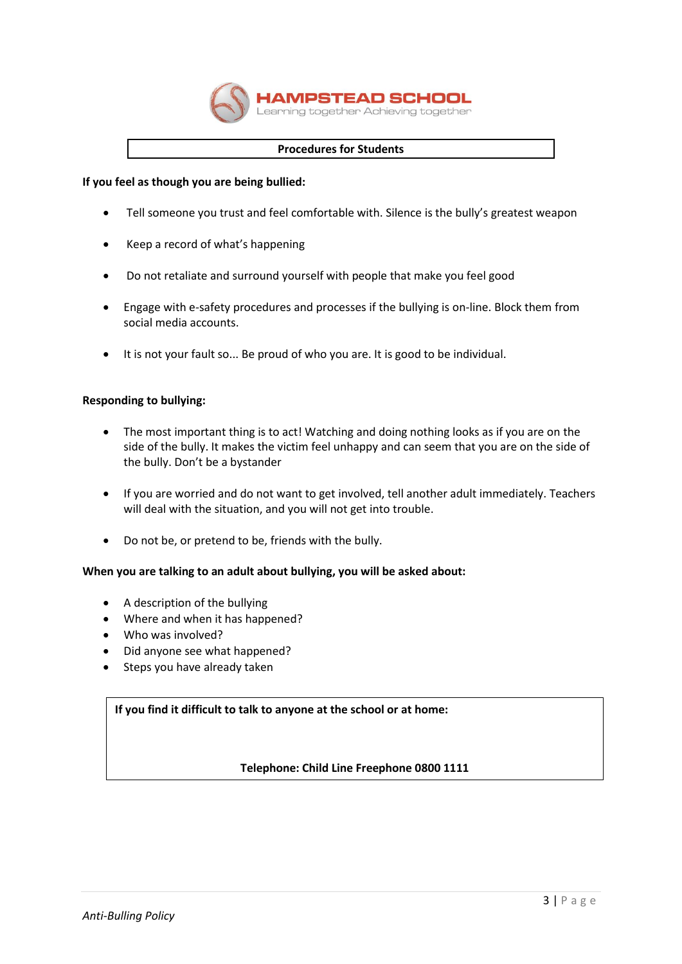

### **Procedures for Students**

### **If you feel as though you are being bullied:**

- Tell someone you trust and feel comfortable with. Silence is the bully's greatest weapon
- Keep a record of what's happening
- Do not retaliate and surround yourself with people that make you feel good
- Engage with e-safety procedures and processes if the bullying is on-line. Block them from social media accounts.
- It is not your fault so... Be proud of who you are. It is good to be individual.

### **Responding to bullying:**

- The most important thing is to act! Watching and doing nothing looks as if you are on the side of the bully. It makes the victim feel unhappy and can seem that you are on the side of the bully. Don't be a bystander
- If you are worried and do not want to get involved, tell another adult immediately. Teachers will deal with the situation, and you will not get into trouble.
- Do not be, or pretend to be, friends with the bully.

## **When you are talking to an adult about bullying, you will be asked about:**

- A description of the bullying
- Where and when it has happened?
- Who was involved?
- Did anyone see what happened?
- Steps you have already taken

## **If you find it difficult to talk to anyone at the school or at home:**

**Telephone: Child Line Freephone 0800 1111**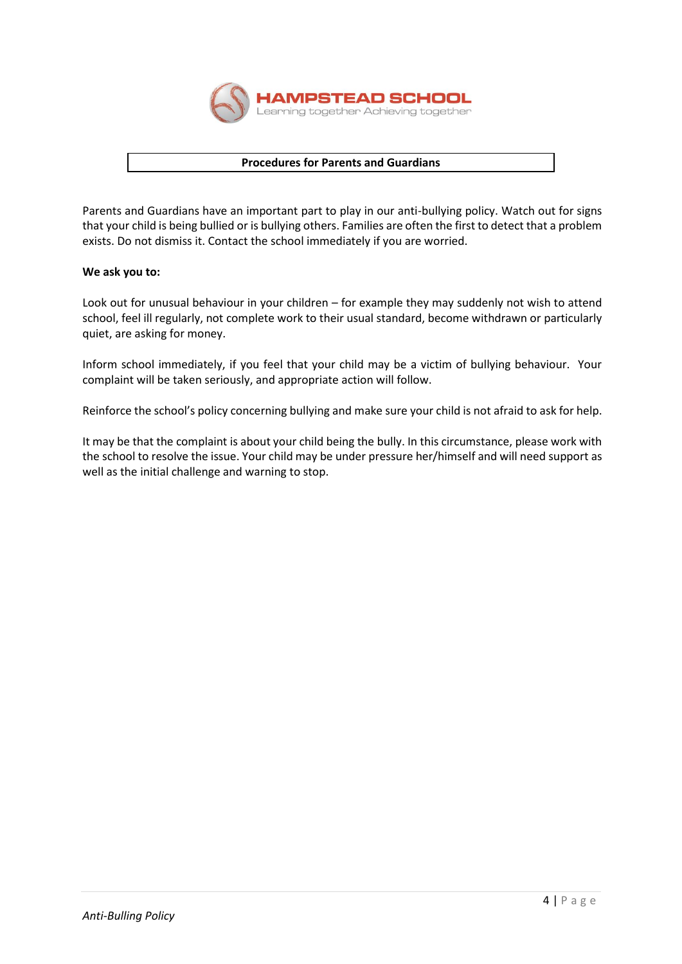

### **Procedures for Parents and Guardians**

Parents and Guardians have an important part to play in our anti-bullying policy. Watch out for signs that your child is being bullied or is bullying others. Families are often the first to detect that a problem exists. Do not dismiss it. Contact the school immediately if you are worried.

### **We ask you to:**

Look out for unusual behaviour in your children – for example they may suddenly not wish to attend school, feel ill regularly, not complete work to their usual standard, become withdrawn or particularly quiet, are asking for money.

Inform school immediately, if you feel that your child may be a victim of bullying behaviour. Your complaint will be taken seriously, and appropriate action will follow.

Reinforce the school's policy concerning bullying and make sure your child is not afraid to ask for help.

It may be that the complaint is about your child being the bully. In this circumstance, please work with the school to resolve the issue. Your child may be under pressure her/himself and will need support as well as the initial challenge and warning to stop.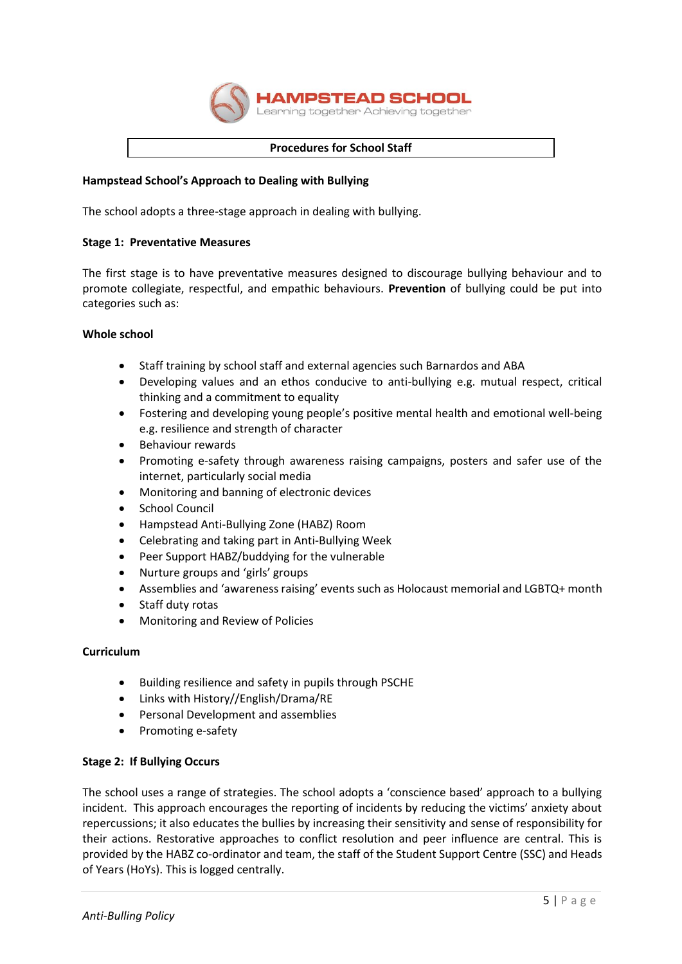

#### **Procedures for School Staff**

### **Hampstead School's Approach to Dealing with Bullying**

The school adopts a three-stage approach in dealing with bullying.

#### **Stage 1: Preventative Measures**

The first stage is to have preventative measures designed to discourage bullying behaviour and to promote collegiate, respectful, and empathic behaviours. **Prevention** of bullying could be put into categories such as:

### **Whole school**

- Staff training by school staff and external agencies such Barnardos and ABA
- Developing values and an ethos conducive to anti-bullying e.g. mutual respect, critical thinking and a commitment to equality
- Fostering and developing young people's positive mental health and emotional well-being e.g. resilience and strength of character
- **•** Behaviour rewards
- Promoting e-safety through awareness raising campaigns, posters and safer use of the internet, particularly social media
- Monitoring and banning of electronic devices
- School Council
- Hampstead Anti-Bullying Zone (HABZ) Room
- Celebrating and taking part in Anti-Bullying Week
- Peer Support HABZ/buddying for the vulnerable
- Nurture groups and 'girls' groups
- Assemblies and 'awareness raising' events such as Holocaust memorial and LGBTQ+ month
- Staff duty rotas
- Monitoring and Review of Policies

#### **Curriculum**

- Building resilience and safety in pupils through PSCHE
- Links with History//English/Drama/RE
- Personal Development and assemblies
- Promoting e-safety

## **Stage 2: If Bullying Occurs**

The school uses a range of strategies. The school adopts a 'conscience based' approach to a bullying incident. This approach encourages the reporting of incidents by reducing the victims' anxiety about repercussions; it also educates the bullies by increasing their sensitivity and sense of responsibility for their actions. Restorative approaches to conflict resolution and peer influence are central. This is provided by the HABZ co-ordinator and team, the staff of the Student Support Centre (SSC) and Heads of Years (HoYs). This is logged centrally.